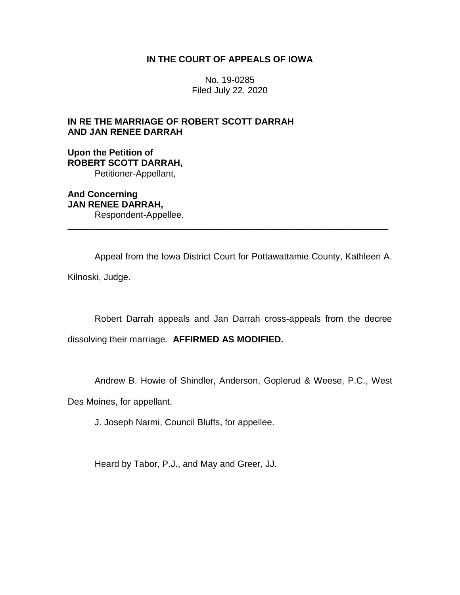# **IN THE COURT OF APPEALS OF IOWA**

No. 19-0285 Filed July 22, 2020

# **IN RE THE MARRIAGE OF ROBERT SCOTT DARRAH AND JAN RENEE DARRAH**

**Upon the Petition of ROBERT SCOTT DARRAH,** Petitioner-Appellant,

**And Concerning JAN RENEE DARRAH,** Respondent-Appellee.

Appeal from the Iowa District Court for Pottawattamie County, Kathleen A. Kilnoski, Judge.

\_\_\_\_\_\_\_\_\_\_\_\_\_\_\_\_\_\_\_\_\_\_\_\_\_\_\_\_\_\_\_\_\_\_\_\_\_\_\_\_\_\_\_\_\_\_\_\_\_\_\_\_\_\_\_\_\_\_\_\_\_\_\_\_

Robert Darrah appeals and Jan Darrah cross-appeals from the decree

dissolving their marriage. **AFFIRMED AS MODIFIED.**

Andrew B. Howie of Shindler, Anderson, Goplerud & Weese, P.C., West

Des Moines, for appellant.

J. Joseph Narmi, Council Bluffs, for appellee.

Heard by Tabor, P.J., and May and Greer, JJ.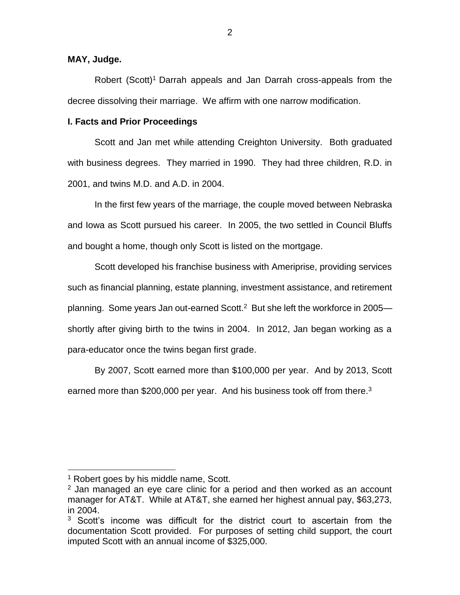# **MAY, Judge.**

Robert (Scott)<sup>1</sup> Darrah appeals and Jan Darrah cross-appeals from the decree dissolving their marriage. We affirm with one narrow modification.

# **I. Facts and Prior Proceedings**

Scott and Jan met while attending Creighton University. Both graduated with business degrees. They married in 1990. They had three children, R.D. in 2001, and twins M.D. and A.D. in 2004.

In the first few years of the marriage, the couple moved between Nebraska and Iowa as Scott pursued his career. In 2005, the two settled in Council Bluffs and bought a home, though only Scott is listed on the mortgage.

Scott developed his franchise business with Ameriprise, providing services such as financial planning, estate planning, investment assistance, and retirement planning. Some years Jan out-earned Scott.<sup>2</sup> But she left the workforce in 2005 shortly after giving birth to the twins in 2004. In 2012, Jan began working as a para-educator once the twins began first grade.

By 2007, Scott earned more than \$100,000 per year. And by 2013, Scott earned more than \$200,000 per year. And his business took off from there. $3$ 

 $\overline{a}$ 

<sup>&</sup>lt;sup>1</sup> Robert goes by his middle name, Scott.

 $2$  Jan managed an eye care clinic for a period and then worked as an account manager for AT&T. While at AT&T, she earned her highest annual pay, \$63,273, in 2004.

 $3$  Scott's income was difficult for the district court to ascertain from the documentation Scott provided. For purposes of setting child support, the court imputed Scott with an annual income of \$325,000.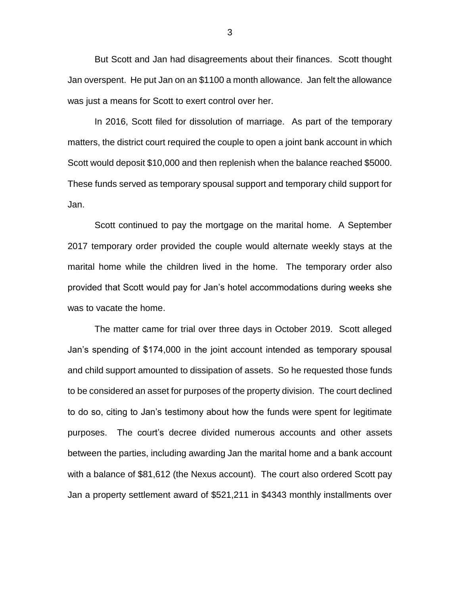But Scott and Jan had disagreements about their finances. Scott thought Jan overspent. He put Jan on an \$1100 a month allowance. Jan felt the allowance was just a means for Scott to exert control over her.

In 2016, Scott filed for dissolution of marriage. As part of the temporary matters, the district court required the couple to open a joint bank account in which Scott would deposit \$10,000 and then replenish when the balance reached \$5000. These funds served as temporary spousal support and temporary child support for Jan.

Scott continued to pay the mortgage on the marital home. A September 2017 temporary order provided the couple would alternate weekly stays at the marital home while the children lived in the home. The temporary order also provided that Scott would pay for Jan's hotel accommodations during weeks she was to vacate the home.

The matter came for trial over three days in October 2019. Scott alleged Jan's spending of \$174,000 in the joint account intended as temporary spousal and child support amounted to dissipation of assets. So he requested those funds to be considered an asset for purposes of the property division. The court declined to do so, citing to Jan's testimony about how the funds were spent for legitimate purposes. The court's decree divided numerous accounts and other assets between the parties, including awarding Jan the marital home and a bank account with a balance of \$81,612 (the Nexus account). The court also ordered Scott pay Jan a property settlement award of \$521,211 in \$4343 monthly installments over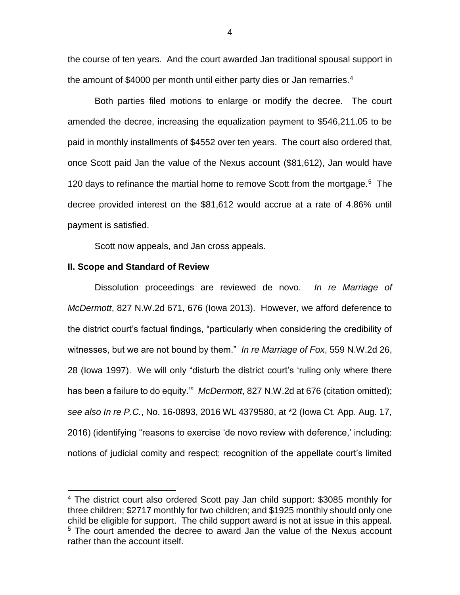the course of ten years. And the court awarded Jan traditional spousal support in the amount of \$4000 per month until either party dies or Jan remarries.<sup>4</sup>

Both parties filed motions to enlarge or modify the decree. The court amended the decree, increasing the equalization payment to \$546,211.05 to be paid in monthly installments of \$4552 over ten years. The court also ordered that, once Scott paid Jan the value of the Nexus account (\$81,612), Jan would have 120 days to refinance the martial home to remove Scott from the mortgage.<sup>5</sup> The decree provided interest on the \$81,612 would accrue at a rate of 4.86% until payment is satisfied.

Scott now appeals, and Jan cross appeals.

### **II. Scope and Standard of Review**

 $\overline{a}$ 

Dissolution proceedings are reviewed de novo. *In re Marriage of McDermott*, 827 N.W.2d 671, 676 (Iowa 2013). However, we afford deference to the district court's factual findings, "particularly when considering the credibility of witnesses, but we are not bound by them." *In re Marriage of Fox*, 559 N.W.2d 26, 28 (Iowa 1997). We will only "disturb the district court's 'ruling only where there has been a failure to do equity.'" *McDermott*, 827 N.W.2d at 676 (citation omitted); *see also In re P.C.*, No. 16-0893, 2016 WL 4379580, at \*2 (Iowa Ct. App. Aug. 17, 2016) (identifying "reasons to exercise 'de novo review with deference,' including: notions of judicial comity and respect; recognition of the appellate court's limited

<sup>4</sup> The district court also ordered Scott pay Jan child support: \$3085 monthly for three children; \$2717 monthly for two children; and \$1925 monthly should only one child be eligible for support. The child support award is not at issue in this appeal. <sup>5</sup> The court amended the decree to award Jan the value of the Nexus account rather than the account itself.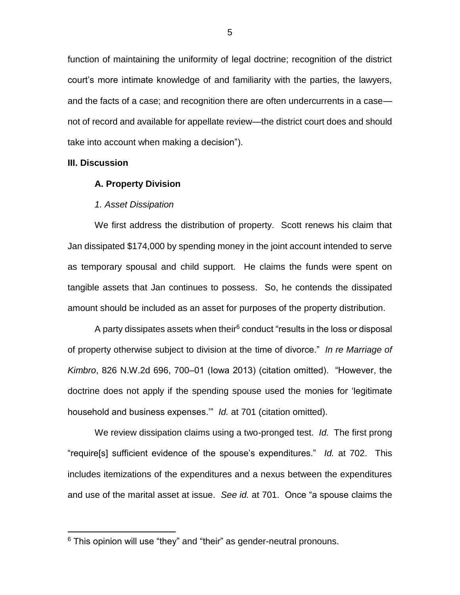function of maintaining the uniformity of legal doctrine; recognition of the district court's more intimate knowledge of and familiarity with the parties, the lawyers, and the facts of a case; and recognition there are often undercurrents in a case not of record and available for appellate review—the district court does and should take into account when making a decision").

### **III. Discussion**

 $\overline{a}$ 

#### **A. Property Division**

#### *1. Asset Dissipation*

We first address the distribution of property. Scott renews his claim that Jan dissipated \$174,000 by spending money in the joint account intended to serve as temporary spousal and child support. He claims the funds were spent on tangible assets that Jan continues to possess. So, he contends the dissipated amount should be included as an asset for purposes of the property distribution.

A party dissipates assets when their $6$  conduct "results in the loss or disposal of property otherwise subject to division at the time of divorce." *In re Marriage of Kimbro*, 826 N.W.2d 696, 700–01 (Iowa 2013) (citation omitted). "However, the doctrine does not apply if the spending spouse used the monies for 'legitimate household and business expenses.'" *Id.* at 701 (citation omitted).

We review dissipation claims using a two-pronged test. *Id.* The first prong "require[s] sufficient evidence of the spouse's expenditures." *Id.* at 702. This includes itemizations of the expenditures and a nexus between the expenditures and use of the marital asset at issue. *See id.* at 701. Once "a spouse claims the

 $6$  This opinion will use "they" and "their" as gender-neutral pronouns.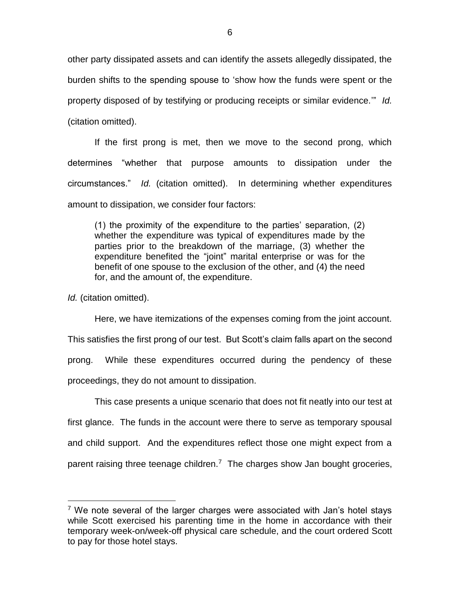other party dissipated assets and can identify the assets allegedly dissipated, the burden shifts to the spending spouse to 'show how the funds were spent or the property disposed of by testifying or producing receipts or similar evidence.'" *Id.* (citation omitted).

If the first prong is met, then we move to the second prong, which determines "whether that purpose amounts to dissipation under the circumstances." *Id.* (citation omitted). In determining whether expenditures amount to dissipation, we consider four factors:

(1) the proximity of the expenditure to the parties' separation, (2) whether the expenditure was typical of expenditures made by the parties prior to the breakdown of the marriage, (3) whether the expenditure benefited the "joint" marital enterprise or was for the benefit of one spouse to the exclusion of the other, and (4) the need for, and the amount of, the expenditure.

*Id.* (citation omitted).

 $\overline{a}$ 

Here, we have itemizations of the expenses coming from the joint account. This satisfies the first prong of our test. But Scott's claim falls apart on the second prong. While these expenditures occurred during the pendency of these proceedings, they do not amount to dissipation.

This case presents a unique scenario that does not fit neatly into our test at first glance. The funds in the account were there to serve as temporary spousal and child support. And the expenditures reflect those one might expect from a parent raising three teenage children.<sup>7</sup> The charges show Jan bought groceries,

 $7$  We note several of the larger charges were associated with Jan's hotel stays while Scott exercised his parenting time in the home in accordance with their temporary week-on/week-off physical care schedule, and the court ordered Scott to pay for those hotel stays.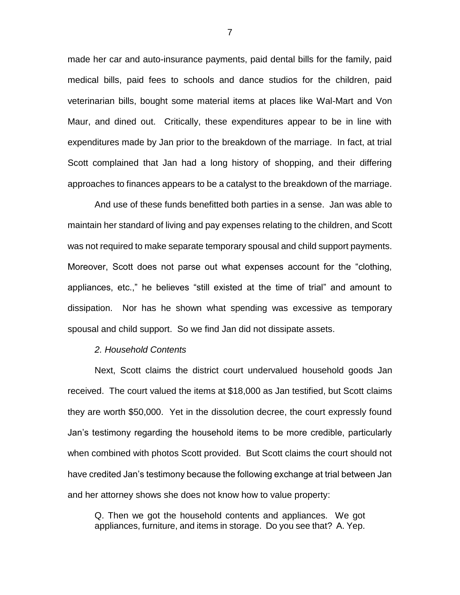made her car and auto-insurance payments, paid dental bills for the family, paid medical bills, paid fees to schools and dance studios for the children, paid veterinarian bills, bought some material items at places like Wal-Mart and Von Maur, and dined out. Critically, these expenditures appear to be in line with expenditures made by Jan prior to the breakdown of the marriage. In fact, at trial Scott complained that Jan had a long history of shopping, and their differing approaches to finances appears to be a catalyst to the breakdown of the marriage.

And use of these funds benefitted both parties in a sense. Jan was able to maintain her standard of living and pay expenses relating to the children, and Scott was not required to make separate temporary spousal and child support payments. Moreover, Scott does not parse out what expenses account for the "clothing, appliances, etc.," he believes "still existed at the time of trial" and amount to dissipation. Nor has he shown what spending was excessive as temporary spousal and child support. So we find Jan did not dissipate assets.

# *2. Household Contents*

Next, Scott claims the district court undervalued household goods Jan received. The court valued the items at \$18,000 as Jan testified, but Scott claims they are worth \$50,000. Yet in the dissolution decree, the court expressly found Jan's testimony regarding the household items to be more credible, particularly when combined with photos Scott provided. But Scott claims the court should not have credited Jan's testimony because the following exchange at trial between Jan and her attorney shows she does not know how to value property:

Q. Then we got the household contents and appliances. We got appliances, furniture, and items in storage. Do you see that? A. Yep.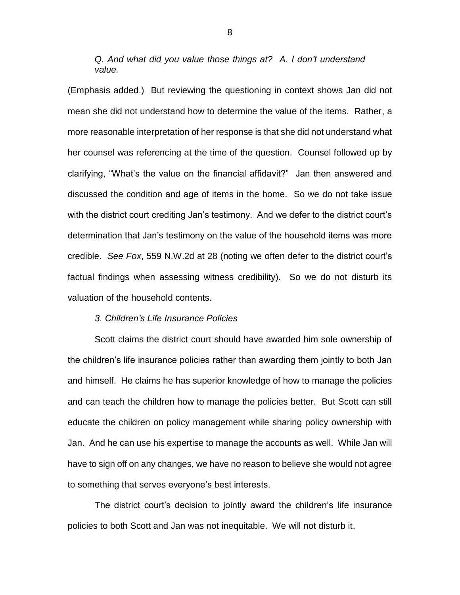*Q. And what did you value those things at? A. I don't understand value.*

(Emphasis added.) But reviewing the questioning in context shows Jan did not mean she did not understand how to determine the value of the items. Rather, a more reasonable interpretation of her response is that she did not understand what her counsel was referencing at the time of the question. Counsel followed up by clarifying, "What's the value on the financial affidavit?" Jan then answered and discussed the condition and age of items in the home. So we do not take issue with the district court crediting Jan's testimony. And we defer to the district court's determination that Jan's testimony on the value of the household items was more credible. *See Fox*, 559 N.W.2d at 28 (noting we often defer to the district court's factual findings when assessing witness credibility). So we do not disturb its valuation of the household contents.

# *3. Children's Life Insurance Policies*

Scott claims the district court should have awarded him sole ownership of the children's life insurance policies rather than awarding them jointly to both Jan and himself. He claims he has superior knowledge of how to manage the policies and can teach the children how to manage the policies better. But Scott can still educate the children on policy management while sharing policy ownership with Jan. And he can use his expertise to manage the accounts as well. While Jan will have to sign off on any changes, we have no reason to believe she would not agree to something that serves everyone's best interests.

The district court's decision to jointly award the children's life insurance policies to both Scott and Jan was not inequitable. We will not disturb it.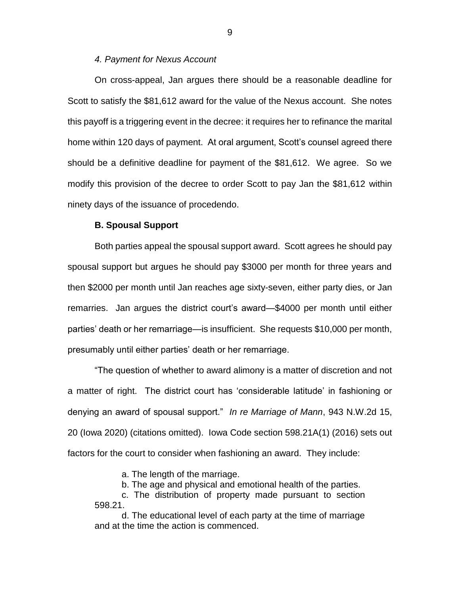# *4. Payment for Nexus Account*

On cross-appeal, Jan argues there should be a reasonable deadline for Scott to satisfy the \$81,612 award for the value of the Nexus account. She notes this payoff is a triggering event in the decree: it requires her to refinance the marital home within 120 days of payment. At oral argument, Scott's counsel agreed there should be a definitive deadline for payment of the \$81,612. We agree. So we modify this provision of the decree to order Scott to pay Jan the \$81,612 within ninety days of the issuance of procedendo.

# **B. Spousal Support**

Both parties appeal the spousal support award. Scott agrees he should pay spousal support but argues he should pay \$3000 per month for three years and then \$2000 per month until Jan reaches age sixty-seven, either party dies, or Jan remarries. Jan argues the district court's award—\$4000 per month until either parties' death or her remarriage—is insufficient. She requests \$10,000 per month, presumably until either parties' death or her remarriage.

"The question of whether to award alimony is a matter of discretion and not a matter of right. The district court has 'considerable latitude' in fashioning or denying an award of spousal support." *In re Marriage of Mann*, 943 N.W.2d 15, 20 (Iowa 2020) (citations omitted). Iowa Code section 598.21A(1) (2016) sets out factors for the court to consider when fashioning an award. They include:

a. The length of the marriage.

b. The age and physical and emotional health of the parties.

c. The distribution of property made pursuant to section 598.21.

d. The educational level of each party at the time of marriage and at the time the action is commenced.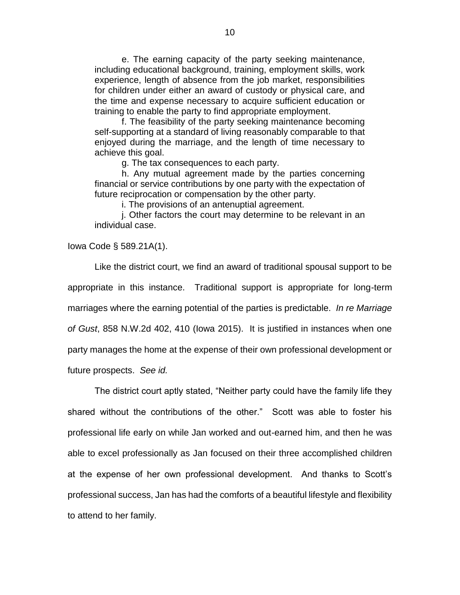e. The earning capacity of the party seeking maintenance, including educational background, training, employment skills, work experience, length of absence from the job market, responsibilities for children under either an award of custody or physical care, and the time and expense necessary to acquire sufficient education or training to enable the party to find appropriate employment.

f. The feasibility of the party seeking maintenance becoming self-supporting at a standard of living reasonably comparable to that enjoyed during the marriage, and the length of time necessary to achieve this goal.

g. The tax consequences to each party.

h. Any mutual agreement made by the parties concerning financial or service contributions by one party with the expectation of future reciprocation or compensation by the other party.

i. The provisions of an antenuptial agreement.

j. Other factors the court may determine to be relevant in an individual case.

Iowa Code § 589.21A(1).

Like the district court, we find an award of traditional spousal support to be appropriate in this instance. Traditional support is appropriate for long-term marriages where the earning potential of the parties is predictable. *In re Marriage of Gust*, 858 N.W.2d 402, 410 (Iowa 2015). It is justified in instances when one party manages the home at the expense of their own professional development or future prospects. *See id.*

The district court aptly stated, "Neither party could have the family life they shared without the contributions of the other." Scott was able to foster his professional life early on while Jan worked and out-earned him, and then he was able to excel professionally as Jan focused on their three accomplished children at the expense of her own professional development. And thanks to Scott's professional success, Jan has had the comforts of a beautiful lifestyle and flexibility to attend to her family.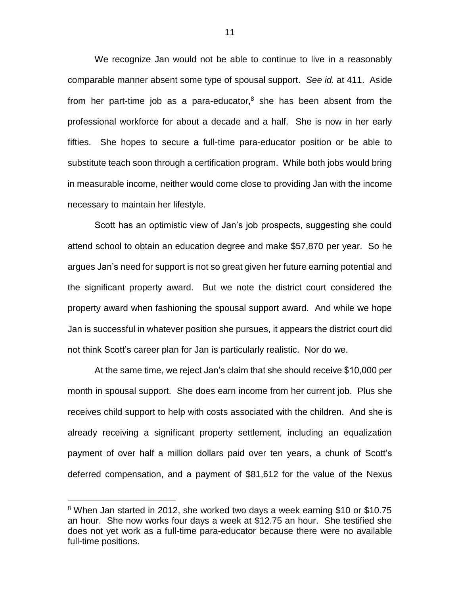We recognize Jan would not be able to continue to live in a reasonably comparable manner absent some type of spousal support. *See id.* at 411. Aside from her part-time job as a para-educator, $8$  she has been absent from the professional workforce for about a decade and a half. She is now in her early fifties. She hopes to secure a full-time para-educator position or be able to substitute teach soon through a certification program. While both jobs would bring in measurable income, neither would come close to providing Jan with the income necessary to maintain her lifestyle.

Scott has an optimistic view of Jan's job prospects, suggesting she could attend school to obtain an education degree and make \$57,870 per year. So he argues Jan's need for support is not so great given her future earning potential and the significant property award. But we note the district court considered the property award when fashioning the spousal support award. And while we hope Jan is successful in whatever position she pursues, it appears the district court did not think Scott's career plan for Jan is particularly realistic. Nor do we.

At the same time, we reject Jan's claim that she should receive \$10,000 per month in spousal support. She does earn income from her current job. Plus she receives child support to help with costs associated with the children. And she is already receiving a significant property settlement, including an equalization payment of over half a million dollars paid over ten years, a chunk of Scott's deferred compensation, and a payment of \$81,612 for the value of the Nexus

 $\overline{a}$ 

<sup>&</sup>lt;sup>8</sup> When Jan started in 2012, she worked two days a week earning \$10 or \$10.75 an hour. She now works four days a week at \$12.75 an hour. She testified she does not yet work as a full-time para-educator because there were no available full-time positions.